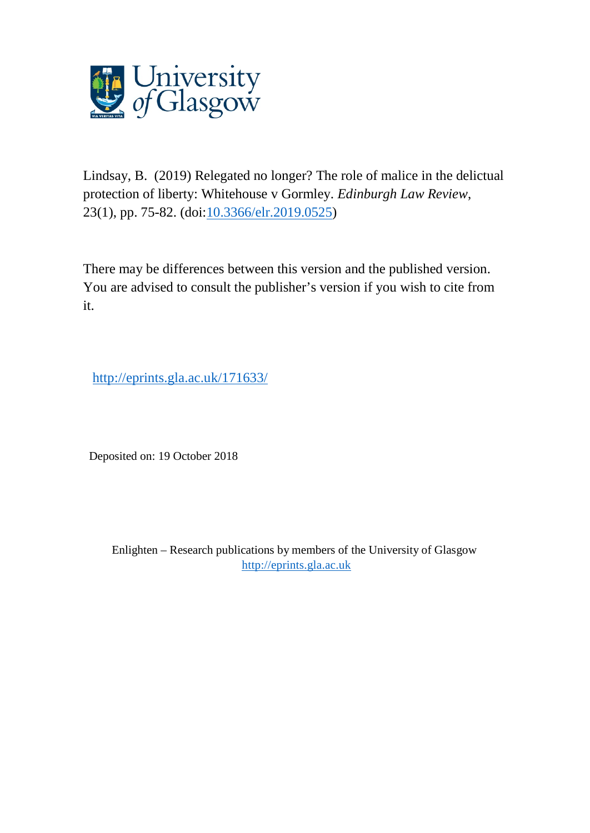

Lindsay, B. (2019) Relegated no longer? The role of malice in the delictual protection of liberty: Whitehouse v Gormley. *Edinburgh Law Review*, 23(1), pp. 75-82. (doi[:10.3366/elr.2019.0525\)](http://dx.doi.org/10.3366/elr.2019.0525)

There may be differences between this version and the published version. You are advised to consult the publisher's version if you wish to cite from it.

http://eprints.gla.ac.uk/171633/

Deposited on: 19 October 2018

Enlighten – Research publications by members of the University of Glasgow [http://eprints.gla.ac.uk](http://eprints.gla.ac.uk/)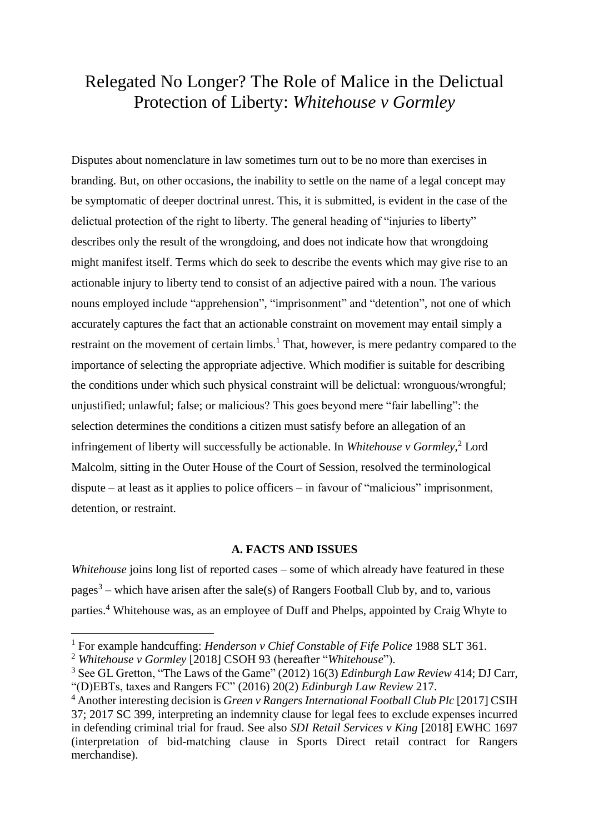# Relegated No Longer? The Role of Malice in the Delictual Protection of Liberty: *Whitehouse v Gormley*

Disputes about nomenclature in law sometimes turn out to be no more than exercises in branding. But, on other occasions, the inability to settle on the name of a legal concept may be symptomatic of deeper doctrinal unrest. This, it is submitted, is evident in the case of the delictual protection of the right to liberty. The general heading of "injuries to liberty" describes only the result of the wrongdoing, and does not indicate how that wrongdoing might manifest itself. Terms which do seek to describe the events which may give rise to an actionable injury to liberty tend to consist of an adjective paired with a noun. The various nouns employed include "apprehension", "imprisonment" and "detention", not one of which accurately captures the fact that an actionable constraint on movement may entail simply a restraint on the movement of certain limbs.<sup>1</sup> That, however, is mere pedantry compared to the importance of selecting the appropriate adjective. Which modifier is suitable for describing the conditions under which such physical constraint will be delictual: wronguous/wrongful; unjustified; unlawful; false; or malicious? This goes beyond mere "fair labelling": the selection determines the conditions a citizen must satisfy before an allegation of an infringement of liberty will successfully be actionable. In *Whitehouse v Gormley*, <sup>2</sup> Lord Malcolm, sitting in the Outer House of the Court of Session, resolved the terminological dispute – at least as it applies to police officers – in favour of "malicious" imprisonment, detention, or restraint.

### **A. FACTS AND ISSUES**

*Whitehouse* joins long list of reported cases – some of which already have featured in these pages<sup>3</sup> – which have arisen after the sale(s) of Rangers Football Club by, and to, various parties. <sup>4</sup> Whitehouse was, as an employee of Duff and Phelps, appointed by Craig Whyte to

<sup>1</sup> For example handcuffing: *Henderson v Chief Constable of Fife Police* 1988 SLT 361.

<sup>2</sup> *Whitehouse v Gormley* [2018] CSOH 93 (hereafter "*Whitehouse*").

<sup>3</sup> See GL Gretton, "The Laws of the Game" (2012) 16(3) *Edinburgh Law Review* 414; DJ Carr, "(D)EBTs, taxes and Rangers FC" (2016) 20(2) *Edinburgh Law Review* 217.

<sup>4</sup> Another interesting decision is *Green v Rangers International Football Club Plc* [2017] CSIH 37; 2017 SC 399, interpreting an indemnity clause for legal fees to exclude expenses incurred in defending criminal trial for fraud. See also *SDI Retail Services v King* [2018] EWHC 1697 (interpretation of bid-matching clause in Sports Direct retail contract for Rangers merchandise).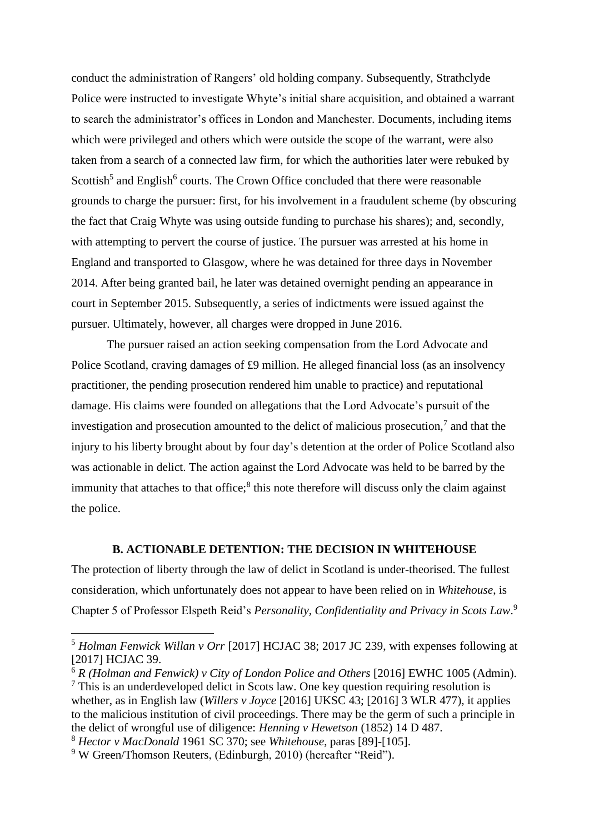conduct the administration of Rangers' old holding company. Subsequently, Strathclyde Police were instructed to investigate Whyte's initial share acquisition, and obtained a warrant to search the administrator's offices in London and Manchester. Documents, including items which were privileged and others which were outside the scope of the warrant, were also taken from a search of a connected law firm, for which the authorities later were rebuked by Scottish<sup>5</sup> and English<sup>6</sup> courts. The Crown Office concluded that there were reasonable grounds to charge the pursuer: first, for his involvement in a fraudulent scheme (by obscuring the fact that Craig Whyte was using outside funding to purchase his shares); and, secondly, with attempting to pervert the course of justice. The pursuer was arrested at his home in England and transported to Glasgow, where he was detained for three days in November 2014. After being granted bail, he later was detained overnight pending an appearance in court in September 2015. Subsequently, a series of indictments were issued against the pursuer. Ultimately, however, all charges were dropped in June 2016.

The pursuer raised an action seeking compensation from the Lord Advocate and Police Scotland, craving damages of £9 million. He alleged financial loss (as an insolvency practitioner, the pending prosecution rendered him unable to practice) and reputational damage. His claims were founded on allegations that the Lord Advocate's pursuit of the investigation and prosecution amounted to the delict of malicious prosecution, $7$  and that the injury to his liberty brought about by four day's detention at the order of Police Scotland also was actionable in delict. The action against the Lord Advocate was held to be barred by the immunity that attaches to that office;<sup>8</sup> this note therefore will discuss only the claim against the police.

# **B. ACTIONABLE DETENTION: THE DECISION IN WHITEHOUSE**

The protection of liberty through the law of delict in Scotland is under-theorised. The fullest consideration, which unfortunately does not appear to have been relied on in *Whitehouse*, is Chapter 5 of Professor Elspeth Reid's *Personality, Confidentiality and Privacy in Scots Law*. 9

<sup>5</sup> *Holman Fenwick Willan v Orr* [2017] HCJAC 38; 2017 JC 239, with expenses following at [2017] HCJAC 39.

<sup>&</sup>lt;sup>6</sup> *R* (Holman and Fenwick) v City of London Police and Others [2016] EWHC 1005 (Admin).  $<sup>7</sup>$  This is an underdeveloped delict in Scots law. One key question requiring resolution is</sup> whether, as in English law (*Willers v Joyce* [2016] UKSC 43; [2016] 3 WLR 477), it applies to the malicious institution of civil proceedings. There may be the germ of such a principle in the delict of wrongful use of diligence: *Henning v Hewetson* (1852) 14 D 487.

<sup>8</sup> *Hector v MacDonald* 1961 SC 370; see *Whitehouse*, paras [89]-[105].

<sup>&</sup>lt;sup>9</sup> W Green/Thomson Reuters, (Edinburgh, 2010) (hereafter "Reid").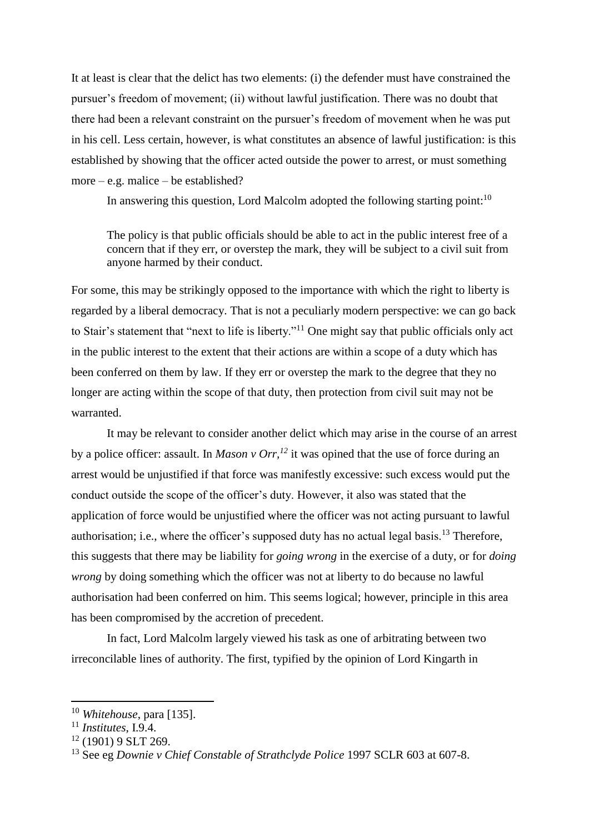It at least is clear that the delict has two elements: (i) the defender must have constrained the pursuer's freedom of movement; (ii) without lawful justification. There was no doubt that there had been a relevant constraint on the pursuer's freedom of movement when he was put in his cell. Less certain, however, is what constitutes an absence of lawful justification: is this established by showing that the officer acted outside the power to arrest, or must something more – e.g. malice – be established?

In answering this question, Lord Malcolm adopted the following starting point:<sup>10</sup>

The policy is that public officials should be able to act in the public interest free of a concern that if they err, or overstep the mark, they will be subject to a civil suit from anyone harmed by their conduct.

For some, this may be strikingly opposed to the importance with which the right to liberty is regarded by a liberal democracy. That is not a peculiarly modern perspective: we can go back to Stair's statement that "next to life is liberty."<sup>11</sup> One might say that public officials only act in the public interest to the extent that their actions are within a scope of a duty which has been conferred on them by law. If they err or overstep the mark to the degree that they no longer are acting within the scope of that duty, then protection from civil suit may not be warranted.

It may be relevant to consider another delict which may arise in the course of an arrest by a police officer: assault. In *Mason v Orr,<sup>12</sup>* it was opined that the use of force during an arrest would be unjustified if that force was manifestly excessive: such excess would put the conduct outside the scope of the officer's duty. However, it also was stated that the application of force would be unjustified where the officer was not acting pursuant to lawful authorisation; i.e., where the officer's supposed duty has no actual legal basis.<sup>13</sup> Therefore, this suggests that there may be liability for *going wrong* in the exercise of a duty, or for *doing wrong* by doing something which the officer was not at liberty to do because no lawful authorisation had been conferred on him. This seems logical; however, principle in this area has been compromised by the accretion of precedent.

In fact, Lord Malcolm largely viewed his task as one of arbitrating between two irreconcilable lines of authority. The first, typified by the opinion of Lord Kingarth in

<sup>10</sup> *Whitehouse*, para [135].

<sup>11</sup> *Institutes*, I.9.4.

<sup>12</sup> (1901) 9 SLT 269.

<sup>13</sup> See eg *Downie v Chief Constable of Strathclyde Police* 1997 SCLR 603 at 607-8.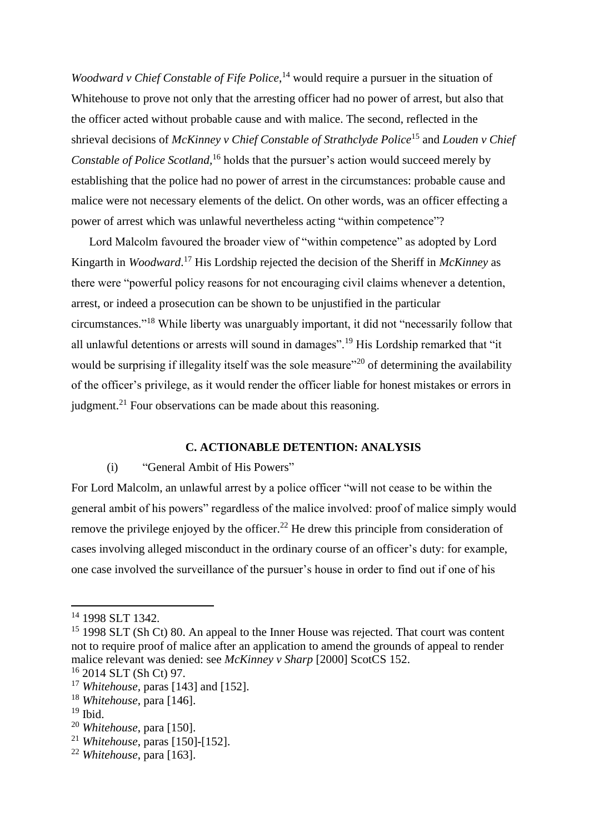*Woodward v Chief Constable of Fife Police*, <sup>14</sup> would require a pursuer in the situation of Whitehouse to prove not only that the arresting officer had no power of arrest, but also that the officer acted without probable cause and with malice. The second, reflected in the shrieval decisions of *McKinney v Chief Constable of Strathclyde Police*<sup>15</sup> and *Louden v Chief Constable of Police Scotland,*<sup>16</sup> holds that the pursuer's action would succeed merely by establishing that the police had no power of arrest in the circumstances: probable cause and malice were not necessary elements of the delict. On other words, was an officer effecting a power of arrest which was unlawful nevertheless acting "within competence"?

Lord Malcolm favoured the broader view of "within competence" as adopted by Lord Kingarth in *Woodward*. <sup>17</sup> His Lordship rejected the decision of the Sheriff in *McKinney* as there were "powerful policy reasons for not encouraging civil claims whenever a detention, arrest, or indeed a prosecution can be shown to be unjustified in the particular circumstances." <sup>18</sup> While liberty was unarguably important, it did not "necessarily follow that all unlawful detentions or arrests will sound in damages".<sup>19</sup> His Lordship remarked that "it would be surprising if illegality itself was the sole measure<sup>"20</sup> of determining the availability of the officer's privilege, as it would render the officer liable for honest mistakes or errors in judgment.<sup>21</sup> Four observations can be made about this reasoning.

#### **C. ACTIONABLE DETENTION: ANALYSIS**

#### (i) "General Ambit of His Powers"

For Lord Malcolm, an unlawful arrest by a police officer "will not cease to be within the general ambit of his powers" regardless of the malice involved: proof of malice simply would remove the privilege enjoyed by the officer.<sup>22</sup> He drew this principle from consideration of cases involving alleged misconduct in the ordinary course of an officer's duty: for example, one case involved the surveillance of the pursuer's house in order to find out if one of his

l

<sup>21</sup> *Whitehouse*, paras [150]-[152].

<sup>14</sup> 1998 SLT 1342.

<sup>&</sup>lt;sup>15</sup> 1998 SLT (Sh Ct) 80. An appeal to the Inner House was rejected. That court was content not to require proof of malice after an application to amend the grounds of appeal to render malice relevant was denied: see *McKinney v Sharp* [2000] ScotCS 152.

<sup>16</sup> 2014 SLT (Sh Ct) 97.

<sup>17</sup> *Whitehouse,* paras [143] and [152].

<sup>18</sup> *Whitehouse*, para [146].

 $19$  Ibid.

<sup>20</sup> *Whitehouse*, para [150].

<sup>22</sup> *Whitehouse*, para [163].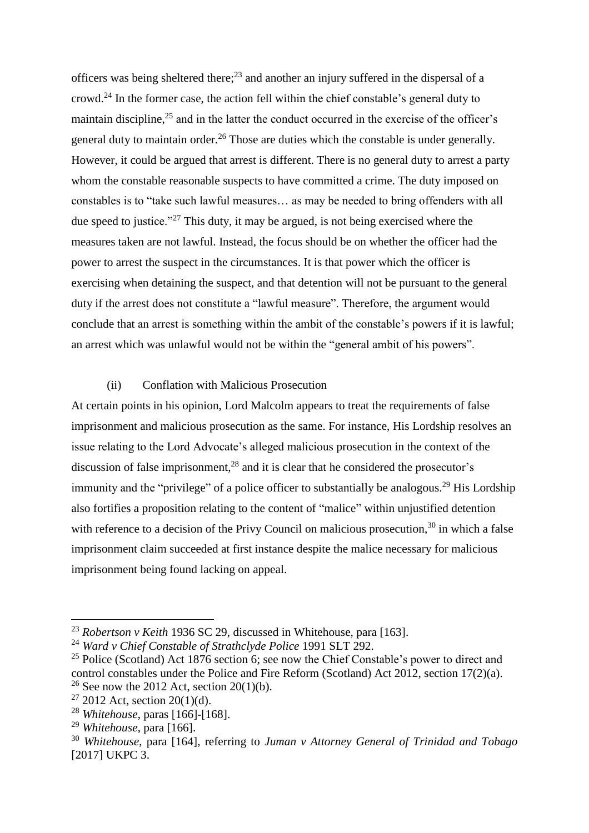officers was being sheltered there;<sup>23</sup> and another an injury suffered in the dispersal of a crowd.<sup>24</sup> In the former case, the action fell within the chief constable's general duty to maintain discipline,<sup>25</sup> and in the latter the conduct occurred in the exercise of the officer's general duty to maintain order.<sup>26</sup> Those are duties which the constable is under generally. However, it could be argued that arrest is different. There is no general duty to arrest a party whom the constable reasonable suspects to have committed a crime. The duty imposed on constables is to "take such lawful measures… as may be needed to bring offenders with all due speed to justice."<sup>27</sup> This duty, it may be argued, is not being exercised where the measures taken are not lawful. Instead, the focus should be on whether the officer had the power to arrest the suspect in the circumstances. It is that power which the officer is exercising when detaining the suspect, and that detention will not be pursuant to the general duty if the arrest does not constitute a "lawful measure". Therefore, the argument would conclude that an arrest is something within the ambit of the constable's powers if it is lawful; an arrest which was unlawful would not be within the "general ambit of his powers".

## (ii) Conflation with Malicious Prosecution

At certain points in his opinion, Lord Malcolm appears to treat the requirements of false imprisonment and malicious prosecution as the same. For instance, His Lordship resolves an issue relating to the Lord Advocate's alleged malicious prosecution in the context of the discussion of false imprisonment, $^{28}$  and it is clear that he considered the prosecutor's immunity and the "privilege" of a police officer to substantially be analogous.<sup>29</sup> His Lordship also fortifies a proposition relating to the content of "malice" within unjustified detention with reference to a decision of the Privy Council on malicious prosecution,  $30$  in which a false imprisonment claim succeeded at first instance despite the malice necessary for malicious imprisonment being found lacking on appeal.

l

<sup>23</sup> *Robertson v Keith* 1936 SC 29, discussed in Whitehouse, para [163].

<sup>24</sup> *Ward v Chief Constable of Strathclyde Police* 1991 SLT 292.

 $25$  Police (Scotland) Act 1876 section 6; see now the Chief Constable's power to direct and control constables under the Police and Fire Reform (Scotland) Act 2012, section 17(2)(a). <sup>26</sup> See now the 2012 Act, section 20(1)(b).

 $27$  2012 Act, section 20(1)(d).

<sup>28</sup> *Whitehouse*, paras [166]-[168].

<sup>29</sup> *Whitehouse*, para [166].

<sup>30</sup> *Whitehouse*, para [164], referring to *Juman v Attorney General of Trinidad and Tobago*  [2017] UKPC 3.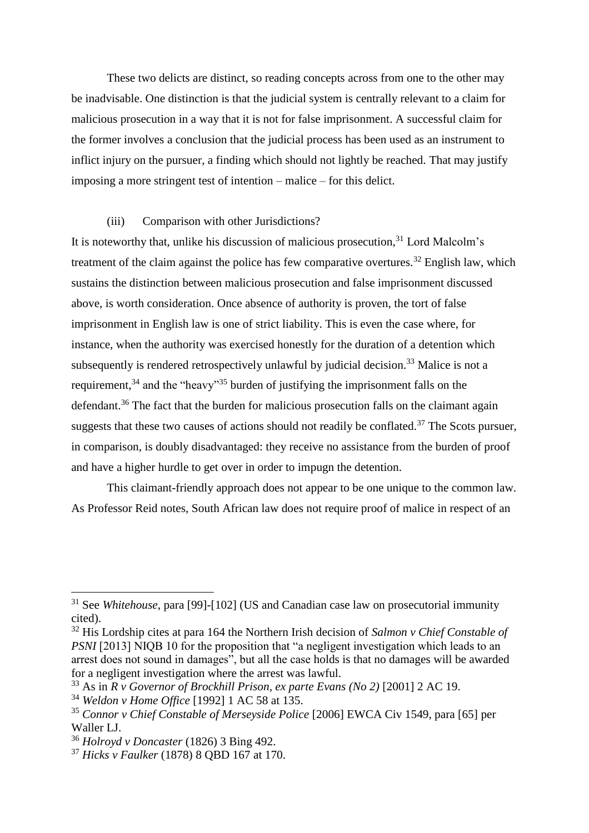These two delicts are distinct, so reading concepts across from one to the other may be inadvisable. One distinction is that the judicial system is centrally relevant to a claim for malicious prosecution in a way that it is not for false imprisonment. A successful claim for the former involves a conclusion that the judicial process has been used as an instrument to inflict injury on the pursuer, a finding which should not lightly be reached. That may justify imposing a more stringent test of intention – malice – for this delict.

## (iii) Comparison with other Jurisdictions?

It is noteworthy that, unlike his discussion of malicious prosecution.<sup>31</sup> Lord Malcolm's treatment of the claim against the police has few comparative overtures.<sup>32</sup> English law, which sustains the distinction between malicious prosecution and false imprisonment discussed above, is worth consideration. Once absence of authority is proven, the tort of false imprisonment in English law is one of strict liability. This is even the case where, for instance, when the authority was exercised honestly for the duration of a detention which subsequently is rendered retrospectively unlawful by judicial decision.<sup>33</sup> Malice is not a requirement,  $34$  and the "heavy"<sup>35</sup> burden of justifying the imprisonment falls on the defendant.<sup>36</sup> The fact that the burden for malicious prosecution falls on the claimant again suggests that these two causes of actions should not readily be conflated.<sup>37</sup> The Scots pursuer, in comparison, is doubly disadvantaged: they receive no assistance from the burden of proof and have a higher hurdle to get over in order to impugn the detention.

This claimant-friendly approach does not appear to be one unique to the common law. As Professor Reid notes, South African law does not require proof of malice in respect of an

l

<sup>31</sup> See *Whitehouse*, para [99]-[102] (US and Canadian case law on prosecutorial immunity cited).

<sup>32</sup> His Lordship cites at para 164 the Northern Irish decision of *Salmon v Chief Constable of PSNI* [2013] NIQB 10 for the proposition that "a negligent investigation which leads to an arrest does not sound in damages", but all the case holds is that no damages will be awarded for a negligent investigation where the arrest was lawful.

 $33$  As in *R v Governor of Brockhill Prison, ex parte Evans (No 2)* [2001] 2 AC 19.

<sup>34</sup> *Weldon v Home Office* [1992] 1 AC 58 at 135.

<sup>35</sup> *Connor v Chief Constable of Merseyside Police* [2006] EWCA Civ 1549, para [65] per Waller LJ.

<sup>36</sup> *Holroyd v Doncaster* (1826) 3 Bing 492.

<sup>37</sup> *Hicks v Faulker* (1878) 8 QBD 167 at 170.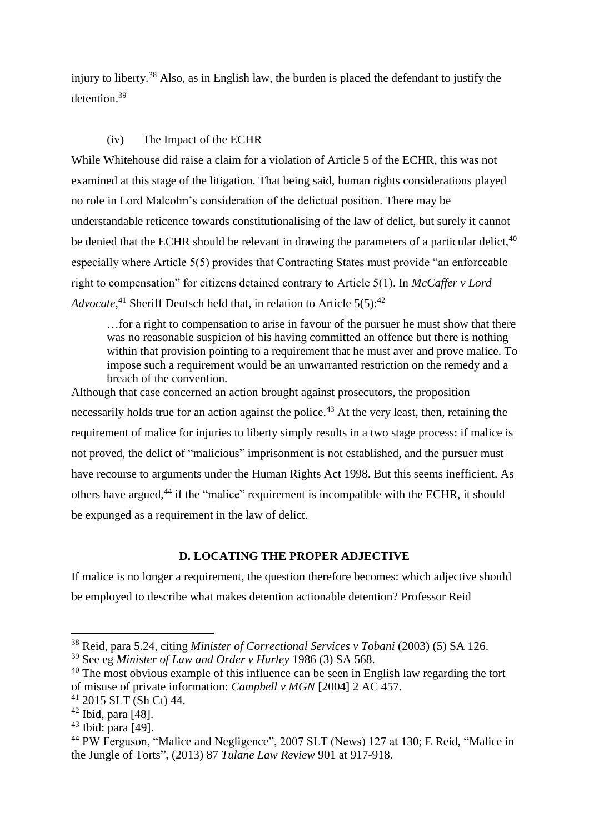injury to liberty.<sup>38</sup> Also, as in English law, the burden is placed the defendant to justify the detention.<sup>39</sup>

# (iv) The Impact of the ECHR

While Whitehouse did raise a claim for a violation of Article 5 of the ECHR, this was not examined at this stage of the litigation. That being said, human rights considerations played no role in Lord Malcolm's consideration of the delictual position. There may be understandable reticence towards constitutionalising of the law of delict, but surely it cannot be denied that the ECHR should be relevant in drawing the parameters of a particular delict,  $40$ especially where Article 5(5) provides that Contracting States must provide "an enforceable right to compensation" for citizens detained contrary to Article 5(1). In *McCaffer v Lord*  Advocate,<sup>41</sup> Sheriff Deutsch held that, in relation to Article 5(5):<sup>42</sup>

…for a right to compensation to arise in favour of the pursuer he must show that there was no reasonable suspicion of his having committed an offence but there is nothing within that provision pointing to a requirement that he must aver and prove malice. To impose such a requirement would be an unwarranted restriction on the remedy and a breach of the convention.

Although that case concerned an action brought against prosecutors, the proposition necessarily holds true for an action against the police.<sup>43</sup> At the very least, then, retaining the requirement of malice for injuries to liberty simply results in a two stage process: if malice is not proved, the delict of "malicious" imprisonment is not established, and the pursuer must have recourse to arguments under the Human Rights Act 1998. But this seems inefficient. As others have argued,<sup>44</sup> if the "malice" requirement is incompatible with the ECHR, it should be expunged as a requirement in the law of delict.

## **D. LOCATING THE PROPER ADJECTIVE**

If malice is no longer a requirement, the question therefore becomes: which adjective should be employed to describe what makes detention actionable detention? Professor Reid

<sup>38</sup> Reid, para 5.24, citing *Minister of Correctional Services v Tobani* (2003) (5) SA 126.

<sup>39</sup> See eg *Minister of Law and Order v Hurley* 1986 (3) SA 568.

 $40$  The most obvious example of this influence can be seen in English law regarding the tort of misuse of private information: *Campbell v MGN* [2004] 2 AC 457.

 $41$  2015 SLT (Sh Ct) 44.

<sup>42</sup> Ibid, para [48].

 $43$  Ibid: para [49].

<sup>44</sup> PW Ferguson, "Malice and Negligence", 2007 SLT (News) 127 at 130; E Reid, "Malice in the Jungle of Torts", (2013) 87 *Tulane Law Review* 901 at 917-918.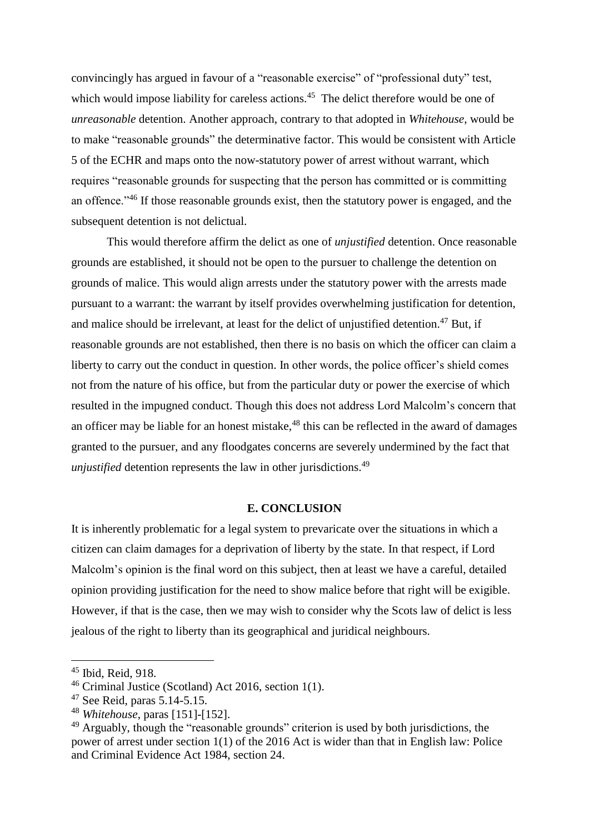convincingly has argued in favour of a "reasonable exercise" of "professional duty" test, which would impose liability for careless actions.<sup>45</sup> The delict therefore would be one of *unreasonable* detention. Another approach, contrary to that adopted in *Whitehouse*, would be to make "reasonable grounds" the determinative factor. This would be consistent with Article 5 of the ECHR and maps onto the now-statutory power of arrest without warrant, which requires "reasonable grounds for suspecting that the person has committed or is committing an offence."<sup>46</sup> If those reasonable grounds exist, then the statutory power is engaged, and the subsequent detention is not delictual.

This would therefore affirm the delict as one of *unjustified* detention. Once reasonable grounds are established, it should not be open to the pursuer to challenge the detention on grounds of malice. This would align arrests under the statutory power with the arrests made pursuant to a warrant: the warrant by itself provides overwhelming justification for detention, and malice should be irrelevant, at least for the delict of unjustified detention.<sup>47</sup> But, if reasonable grounds are not established, then there is no basis on which the officer can claim a liberty to carry out the conduct in question. In other words, the police officer's shield comes not from the nature of his office, but from the particular duty or power the exercise of which resulted in the impugned conduct. Though this does not address Lord Malcolm's concern that an officer may be liable for an honest mistake, $48$  this can be reflected in the award of damages granted to the pursuer, and any floodgates concerns are severely undermined by the fact that *unjustified* detention represents the law in other jurisdictions.<sup>49</sup>

#### **E. CONCLUSION**

It is inherently problematic for a legal system to prevaricate over the situations in which a citizen can claim damages for a deprivation of liberty by the state. In that respect, if Lord Malcolm's opinion is the final word on this subject, then at least we have a careful, detailed opinion providing justification for the need to show malice before that right will be exigible. However, if that is the case, then we may wish to consider why the Scots law of delict is less jealous of the right to liberty than its geographical and juridical neighbours.

<sup>45</sup> Ibid, Reid, 918.

<sup>46</sup> Criminal Justice (Scotland) Act 2016, section 1(1).

 $47$  See Reid, paras  $5.14 - 5.15$ .

<sup>48</sup> *Whitehouse*, paras [151]-[152].

<sup>&</sup>lt;sup>49</sup> Arguably, though the "reasonable grounds" criterion is used by both jurisdictions, the power of arrest under section 1(1) of the 2016 Act is wider than that in English law: Police and Criminal Evidence Act 1984, section 24.